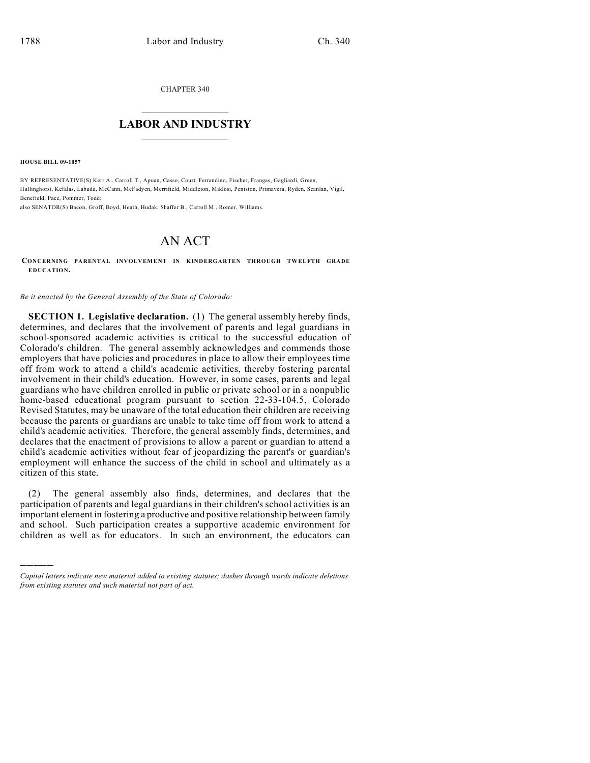CHAPTER 340

## $\overline{\phantom{a}}$  . The set of the set of the set of the set of the set of the set of the set of the set of the set of the set of the set of the set of the set of the set of the set of the set of the set of the set of the set o **LABOR AND INDUSTRY**  $\frac{1}{\sqrt{2}}$  ,  $\frac{1}{\sqrt{2}}$  ,  $\frac{1}{\sqrt{2}}$  ,  $\frac{1}{\sqrt{2}}$  ,  $\frac{1}{\sqrt{2}}$  ,  $\frac{1}{\sqrt{2}}$

**HOUSE BILL 09-1057**

)))))

BY REPRESENTATIVE(S) Kerr A., Carroll T., Apuan, Casso, Court, Ferrandino, Fischer, Frangas, Gagliardi, Green, Hullinghorst, Kefalas, Labuda, McCann, McFadyen, Merrifield, Middleton, Miklosi, Peniston, Primavera, Ryden, Scanlan, Vigil, Benefield, Pace, Pommer, Todd;

also SENATOR(S) Bacon, Groff, Boyd, Heath, Hudak, Shaffer B., Carroll M., Romer, Williams.

## AN ACT

**CONCERNING PARENTAL INVOLVEMENT IN KINDERGARTEN THROUGH TWELFTH GRADE EDUCATION.**

*Be it enacted by the General Assembly of the State of Colorado:*

**SECTION 1. Legislative declaration.** (1) The general assembly hereby finds, determines, and declares that the involvement of parents and legal guardians in school-sponsored academic activities is critical to the successful education of Colorado's children. The general assembly acknowledges and commends those employers that have policies and procedures in place to allow their employees time off from work to attend a child's academic activities, thereby fostering parental involvement in their child's education. However, in some cases, parents and legal guardians who have children enrolled in public or private school or in a nonpublic home-based educational program pursuant to section 22-33-104.5, Colorado Revised Statutes, may be unaware of the total education their children are receiving because the parents or guardians are unable to take time off from work to attend a child's academic activities. Therefore, the general assembly finds, determines, and declares that the enactment of provisions to allow a parent or guardian to attend a child's academic activities without fear of jeopardizing the parent's or guardian's employment will enhance the success of the child in school and ultimately as a citizen of this state.

(2) The general assembly also finds, determines, and declares that the participation of parents and legal guardians in their children's school activities is an important element in fostering a productive and positive relationship between family and school. Such participation creates a supportive academic environment for children as well as for educators. In such an environment, the educators can

*Capital letters indicate new material added to existing statutes; dashes through words indicate deletions from existing statutes and such material not part of act.*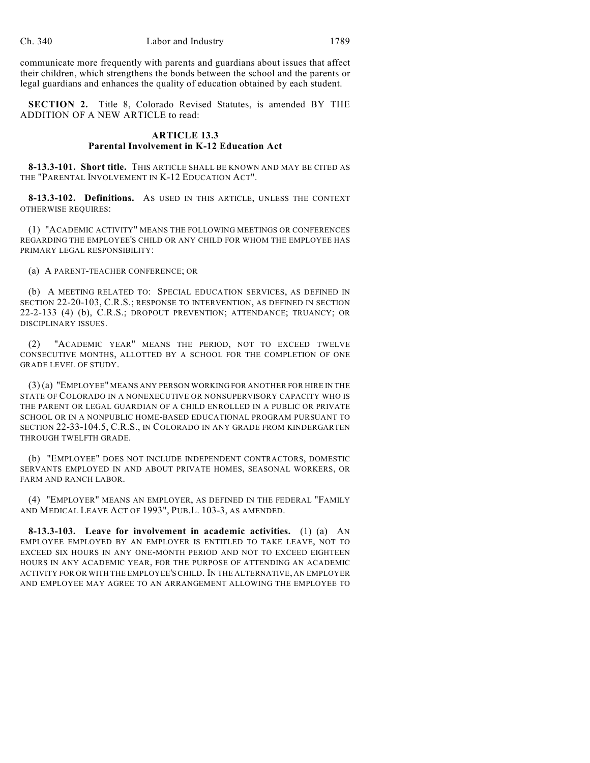communicate more frequently with parents and guardians about issues that affect their children, which strengthens the bonds between the school and the parents or legal guardians and enhances the quality of education obtained by each student.

**SECTION 2.** Title 8, Colorado Revised Statutes, is amended BY THE ADDITION OF A NEW ARTICLE to read:

## **ARTICLE 13.3 Parental Involvement in K-12 Education Act**

**8-13.3-101. Short title.** THIS ARTICLE SHALL BE KNOWN AND MAY BE CITED AS THE "PARENTAL INVOLVEMENT IN K-12 EDUCATION ACT".

**8-13.3-102. Definitions.** AS USED IN THIS ARTICLE, UNLESS THE CONTEXT OTHERWISE REQUIRES:

(1) "ACADEMIC ACTIVITY" MEANS THE FOLLOWING MEETINGS OR CONFERENCES REGARDING THE EMPLOYEE'S CHILD OR ANY CHILD FOR WHOM THE EMPLOYEE HAS PRIMARY LEGAL RESPONSIBILITY:

(a) A PARENT-TEACHER CONFERENCE; OR

(b) A MEETING RELATED TO: SPECIAL EDUCATION SERVICES, AS DEFINED IN SECTION 22-20-103, C.R.S.; RESPONSE TO INTERVENTION, AS DEFINED IN SECTION 22-2-133 (4) (b), C.R.S.; DROPOUT PREVENTION; ATTENDANCE; TRUANCY; OR DISCIPLINARY ISSUES.

(2) "ACADEMIC YEAR" MEANS THE PERIOD, NOT TO EXCEED TWELVE CONSECUTIVE MONTHS, ALLOTTED BY A SCHOOL FOR THE COMPLETION OF ONE GRADE LEVEL OF STUDY.

(3) (a) "EMPLOYEE" MEANS ANY PERSON WORKING FOR ANOTHER FOR HIRE IN THE STATE OF COLORADO IN A NONEXECUTIVE OR NONSUPERVISORY CAPACITY WHO IS THE PARENT OR LEGAL GUARDIAN OF A CHILD ENROLLED IN A PUBLIC OR PRIVATE SCHOOL OR IN A NONPUBLIC HOME-BASED EDUCATIONAL PROGRAM PURSUANT TO SECTION 22-33-104.5, C.R.S., IN COLORADO IN ANY GRADE FROM KINDERGARTEN THROUGH TWELFTH GRADE.

(b) "EMPLOYEE" DOES NOT INCLUDE INDEPENDENT CONTRACTORS, DOMESTIC SERVANTS EMPLOYED IN AND ABOUT PRIVATE HOMES, SEASONAL WORKERS, OR FARM AND RANCH LABOR.

(4) "EMPLOYER" MEANS AN EMPLOYER, AS DEFINED IN THE FEDERAL "FAMILY AND MEDICAL LEAVE ACT OF 1993", PUB.L. 103-3, AS AMENDED.

**8-13.3-103. Leave for involvement in academic activities.** (1) (a) AN EMPLOYEE EMPLOYED BY AN EMPLOYER IS ENTITLED TO TAKE LEAVE, NOT TO EXCEED SIX HOURS IN ANY ONE-MONTH PERIOD AND NOT TO EXCEED EIGHTEEN HOURS IN ANY ACADEMIC YEAR, FOR THE PURPOSE OF ATTENDING AN ACADEMIC ACTIVITY FOR OR WITH THE EMPLOYEE'S CHILD. IN THE ALTERNATIVE, AN EMPLOYER AND EMPLOYEE MAY AGREE TO AN ARRANGEMENT ALLOWING THE EMPLOYEE TO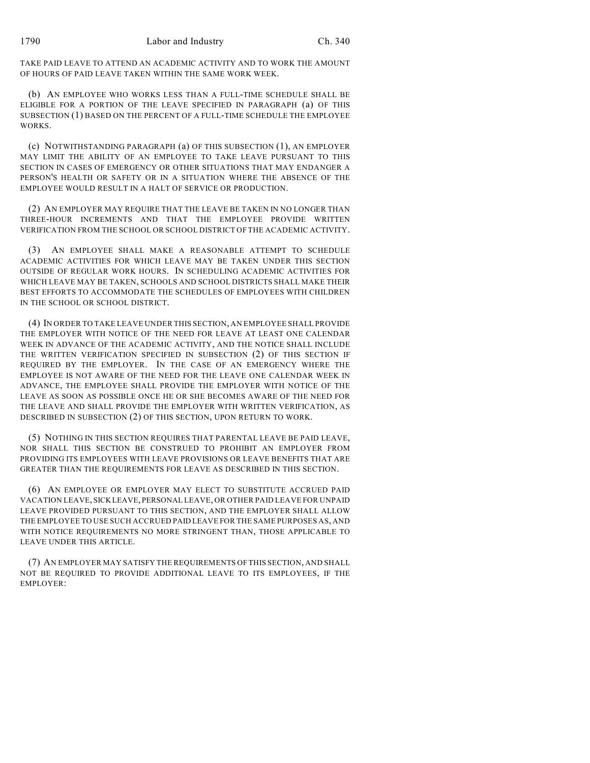TAKE PAID LEAVE TO ATTEND AN ACADEMIC ACTIVITY AND TO WORK THE AMOUNT OF HOURS OF PAID LEAVE TAKEN WITHIN THE SAME WORK WEEK.

(b) AN EMPLOYEE WHO WORKS LESS THAN A FULL-TIME SCHEDULE SHALL BE ELIGIBLE FOR A PORTION OF THE LEAVE SPECIFIED IN PARAGRAPH (a) OF THIS SUBSECTION (1) BASED ON THE PERCENT OF A FULL-TIME SCHEDULE THE EMPLOYEE WORKS.

(c) NOTWITHSTANDING PARAGRAPH (a) OF THIS SUBSECTION (1), AN EMPLOYER MAY LIMIT THE ABILITY OF AN EMPLOYEE TO TAKE LEAVE PURSUANT TO THIS SECTION IN CASES OF EMERGENCY OR OTHER SITUATIONS THAT MAY ENDANGER A PERSON'S HEALTH OR SAFETY OR IN A SITUATION WHERE THE ABSENCE OF THE EMPLOYEE WOULD RESULT IN A HALT OF SERVICE OR PRODUCTION.

(2) AN EMPLOYER MAY REQUIRE THAT THE LEAVE BE TAKEN IN NO LONGER THAN THREE-HOUR INCREMENTS AND THAT THE EMPLOYEE PROVIDE WRITTEN VERIFICATION FROM THE SCHOOL OR SCHOOL DISTRICT OF THE ACADEMIC ACTIVITY.

(3) AN EMPLOYEE SHALL MAKE A REASONABLE ATTEMPT TO SCHEDULE ACADEMIC ACTIVITIES FOR WHICH LEAVE MAY BE TAKEN UNDER THIS SECTION OUTSIDE OF REGULAR WORK HOURS. IN SCHEDULING ACADEMIC ACTIVITIES FOR WHICH LEAVE MAY BE TAKEN, SCHOOLS AND SCHOOL DISTRICTS SHALL MAKE THEIR BEST EFFORTS TO ACCOMMODATE THE SCHEDULES OF EMPLOYEES WITH CHILDREN IN THE SCHOOL OR SCHOOL DISTRICT.

(4) IN ORDER TO TAKE LEAVE UNDER THIS SECTION, AN EMPLOYEE SHALL PROVIDE THE EMPLOYER WITH NOTICE OF THE NEED FOR LEAVE AT LEAST ONE CALENDAR WEEK IN ADVANCE OF THE ACADEMIC ACTIVITY, AND THE NOTICE SHALL INCLUDE THE WRITTEN VERIFICATION SPECIFIED IN SUBSECTION (2) OF THIS SECTION IF REQUIRED BY THE EMPLOYER. IN THE CASE OF AN EMERGENCY WHERE THE EMPLOYEE IS NOT AWARE OF THE NEED FOR THE LEAVE ONE CALENDAR WEEK IN ADVANCE, THE EMPLOYEE SHALL PROVIDE THE EMPLOYER WITH NOTICE OF THE LEAVE AS SOON AS POSSIBLE ONCE HE OR SHE BECOMES AWARE OF THE NEED FOR THE LEAVE AND SHALL PROVIDE THE EMPLOYER WITH WRITTEN VERIFICATION, AS DESCRIBED IN SUBSECTION (2) OF THIS SECTION, UPON RETURN TO WORK.

(5) NOTHING IN THIS SECTION REQUIRES THAT PARENTAL LEAVE BE PAID LEAVE, NOR SHALL THIS SECTION BE CONSTRUED TO PROHIBIT AN EMPLOYER FROM PROVIDING ITS EMPLOYEES WITH LEAVE PROVISIONS OR LEAVE BENEFITS THAT ARE GREATER THAN THE REQUIREMENTS FOR LEAVE AS DESCRIBED IN THIS SECTION.

(6) AN EMPLOYEE OR EMPLOYER MAY ELECT TO SUBSTITUTE ACCRUED PAID VACATION LEAVE, SICK LEAVE, PERSONAL LEAVE, OR OTHER PAID LEAVE FOR UNPAID LEAVE PROVIDED PURSUANT TO THIS SECTION, AND THE EMPLOYER SHALL ALLOW THE EMPLOYEE TO USE SUCH ACCRUED PAID LEAVE FOR THE SAME PURPOSES AS, AND WITH NOTICE REQUIREMENTS NO MORE STRINGENT THAN, THOSE APPLICABLE TO LEAVE UNDER THIS ARTICLE.

(7) AN EMPLOYER MAY SATISFY THE REQUIREMENTS OF THIS SECTION, AND SHALL NOT BE REQUIRED TO PROVIDE ADDITIONAL LEAVE TO ITS EMPLOYEES, IF THE EMPLOYER: